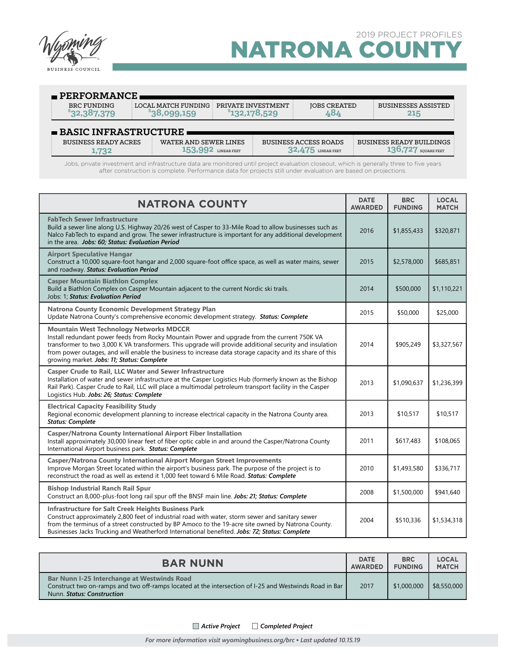

**1,732**

LINEAR FEET **136,727** SQUARE FEET

| $\blacksquare$ PERFORMANCE          |                                                 |                                     |                              |                                   |  |  |
|-------------------------------------|-------------------------------------------------|-------------------------------------|------------------------------|-----------------------------------|--|--|
| BRC FUNDING<br>\$32,387,379         | $\pm$ LOCAL MATCH FUNDING $\pm$<br>\$38,099,159 | PRIVATE INVESTMENT<br>\$132,178,529 | <b>JOBS CREATED</b><br>484   | <b>BUSINESSES ASSISTED</b><br>215 |  |  |
| $\blacksquare$ BASIC INFRASTRUCTURE |                                                 |                                     |                              |                                   |  |  |
| <b>BUSINESS READY ACRES</b>         | WATER AND SEWER LINES                           |                                     | <b>BUSINESS ACCESS ROADS</b> | BUSINESS READY BUILDINGS          |  |  |

Jobs, private investment and infrastructure data are monitored until project evaluation closeout, which is generally three to five years after construction is complete. Performance data for projects still under evaluation are based on projections.

**153,992** LINEAR FEET **32,475** LINEAR FEET

| <b>NATRONA COUNTY</b>                                                                                                                                                                                                                                                                                                                                                                                                | <b>DATE</b><br><b>AWARDED</b> | <b>BRC</b><br><b>FUNDING</b> | <b>LOCAL</b><br><b>MATCH</b> |
|----------------------------------------------------------------------------------------------------------------------------------------------------------------------------------------------------------------------------------------------------------------------------------------------------------------------------------------------------------------------------------------------------------------------|-------------------------------|------------------------------|------------------------------|
| <b>FabTech Sewer Infrastructure</b><br>Build a sewer line along U.S. Highway 20/26 west of Casper to 33-Mile Road to allow businesses such as<br>Nalco FabTech to expand and grow. The sewer infrastructure is important for any additional development<br>in the area. Jobs: 60; Status: Evaluation Period                                                                                                          | 2016                          | \$1,855,433                  | \$320,871                    |
| <b>Airport Speculative Hangar</b><br>Construct a 10,000 square-foot hangar and 2,000 square-foot office space, as well as water mains, sewer<br>and roadway. Status: Evaluation Period                                                                                                                                                                                                                               | 2015                          | \$2,578,000                  | \$685,851                    |
| <b>Casper Mountain Biathlon Complex</b><br>Build a Biathlon Complex on Casper Mountain adjacent to the current Nordic ski trails.<br>Jobs: 1: Status: Evaluation Period                                                                                                                                                                                                                                              | 2014                          | \$500,000                    | \$1,110,221                  |
| <b>Natrona County Economic Development Strategy Plan</b><br>Update Natrona County's comprehensive economic development strategy. Status: Complete                                                                                                                                                                                                                                                                    | 2015                          | \$50,000                     | \$25,000                     |
| <b>Mountain West Technology Networks MDCCR</b><br>Install redundant power feeds from Rocky Mountain Power and upgrade from the current 750K VA<br>transformer to two 3,000 K VA transformers. This upgrade will provide additional security and insulation<br>from power outages, and will enable the business to increase data storage capacity and its share of this<br>growing market. Jobs: 11; Status: Complete | 2014                          | \$905,249                    | \$3,327,567                  |
| <b>Casper Crude to Rail, LLC Water and Sewer Infrastructure</b><br>Installation of water and sewer infrastructure at the Casper Logistics Hub (formerly known as the Bishop<br>Rail Park). Casper Crude to Rail, LLC will place a multimodal petroleum transport facility in the Casper<br>Logistics Hub. Jobs: 26; Status: Complete                                                                                 | 2013                          | \$1,090,637                  | \$1,236,399                  |
| <b>Electrical Capacity Feasibility Study</b><br>Regional economic development planning to increase electrical capacity in the Natrona County area.<br><b>Status: Complete</b>                                                                                                                                                                                                                                        | 2013                          | \$10,517                     | \$10,517                     |
| <b>Casper/Natrona County International Airport Fiber Installation</b><br>Install approximately 30,000 linear feet of fiber optic cable in and around the Casper/Natrona County<br>International Airport business park. Status: Complete                                                                                                                                                                              | 2011                          | \$617,483                    | \$108,065                    |
| <b>Casper/Natrona County International Airport Morgan Street Improvements</b><br>Improve Morgan Street located within the airport's business park. The purpose of the project is to<br>reconstruct the road as well as extend it 1,000 feet toward 6 Mile Road. Status: Complete                                                                                                                                     | 2010                          | \$1,493,580                  | \$336,717                    |
| <b>Bishop Industrial Ranch Rail Spur</b><br>Construct an 8,000-plus-foot long rail spur off the BNSF main line. Jobs: 21; Status: Complete                                                                                                                                                                                                                                                                           | 2008                          | \$1,500,000                  | \$941,640                    |
| <b>Infrastructure for Salt Creek Heights Business Park</b><br>Construct approximately 2,800 feet of industrial road with water, storm sewer and sanitary sewer<br>from the terminus of a street constructed by BP Amoco to the 19-acre site owned by Natrona County.<br>Businesses Jacks Trucking and Weatherford International benefited. Jobs: 72; Status: Complete                                                | 2004                          | \$510,336                    | \$1,534,318                  |

| <b>BAR NUNN</b>                                                                                                                                                                            | <b>DATE</b>    | <b>BRC</b>     | <b>LOCAL</b> |
|--------------------------------------------------------------------------------------------------------------------------------------------------------------------------------------------|----------------|----------------|--------------|
|                                                                                                                                                                                            | <b>AWARDED</b> | <b>FUNDING</b> | <b>MATCH</b> |
| <b>Bar Nunn I-25 Interchange at Westwinds Road</b><br>Construct two on-ramps and two off-ramps located at the intersection of I-25 and Westwinds Road in Bar<br>Nunn. Status: Construction | 2017           | \$1,000,000    | \$8,550,000  |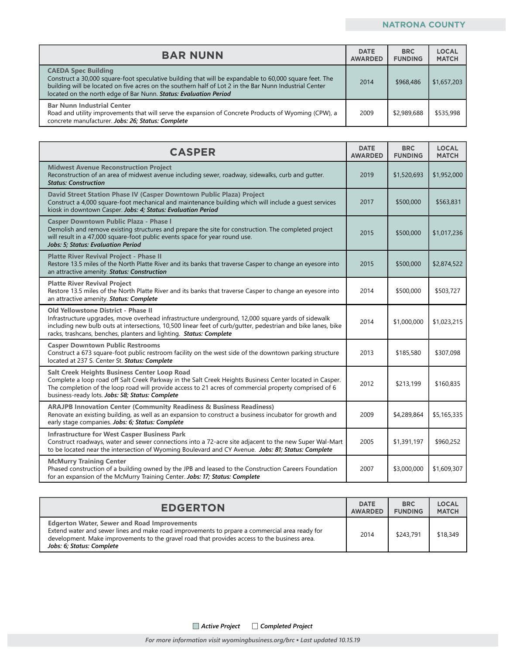## **NATRONA COUNTY**

| <b>BAR NUNN</b>                                                                                                                                                                                                                                                                                                    | <b>DATE</b><br><b>AWARDED</b> | <b>BRC</b><br><b>FUNDING</b> | <b>LOCAL</b><br><b>MATCH</b> |
|--------------------------------------------------------------------------------------------------------------------------------------------------------------------------------------------------------------------------------------------------------------------------------------------------------------------|-------------------------------|------------------------------|------------------------------|
| <b>CAEDA Spec Building</b><br>Construct a 30,000 square-foot speculative building that will be expandable to 60,000 square feet. The<br>building will be located on five acres on the southern half of Lot 2 in the Bar Nunn Industrial Center<br>located on the north edge of Bar Nunn. Status: Evaluation Period | 2014                          | \$968,486                    | \$1,657,203                  |
| <b>Bar Nunn Industrial Center</b><br>Road and utility improvements that will serve the expansion of Concrete Products of Wyoming (CPW), a<br>concrete manufacturer. Jobs: 26; Status: Complete                                                                                                                     | 2009                          | \$2,989,688                  | \$535,998                    |

| <b>CASPER</b>                                                                                                                                                                                                                                                                                                                   | <b>DATE</b><br><b>AWARDED</b> | <b>BRC</b><br><b>FUNDING</b> | <b>LOCAL</b><br><b>MATCH</b> |
|---------------------------------------------------------------------------------------------------------------------------------------------------------------------------------------------------------------------------------------------------------------------------------------------------------------------------------|-------------------------------|------------------------------|------------------------------|
| <b>Midwest Avenue Reconstruction Project</b><br>Reconstruction of an area of midwest avenue including sewer, roadway, sidewalks, curb and gutter.<br><b>Status: Construction</b>                                                                                                                                                | 2019                          | \$1,520,693                  | \$1,952,000                  |
| David Street Station Phase IV (Casper Downtown Public Plaza) Project<br>Construct a 4,000 square-foot mechanical and maintenance building which will include a guest services<br>kiosk in downtown Casper. Jobs: 4; Status: Evaluation Period                                                                                   | 2017                          | \$500,000                    | \$563,831                    |
| <b>Casper Downtown Public Plaza - Phase I</b><br>Demolish and remove existing structures and prepare the site for construction. The completed project<br>will result in a 47,000 square-foot public events space for year round use.<br>Jobs: 5; Status: Evaluation Period                                                      | 2015                          | \$500,000                    | \$1,017,236                  |
| <b>Platte River Revival Project - Phase II</b><br>Restore 13.5 miles of the North Platte River and its banks that traverse Casper to change an eyesore into<br>an attractive amenity. Status: Construction                                                                                                                      | 2015                          | \$500,000                    | \$2,874,522                  |
| <b>Platte River Revival Project</b><br>Restore 13.5 miles of the North Platte River and its banks that traverse Casper to change an eyesore into<br>an attractive amenity. Status: Complete                                                                                                                                     | 2014                          | \$500,000                    | \$503,727                    |
| Old Yellowstone District - Phase II<br>Infrastructure upgrades, move overhead infrastructure underground, 12,000 square yards of sidewalk<br>including new bulb outs at intersections, 10,500 linear feet of curb/gutter, pedestrian and bike lanes, bike<br>racks, trashcans, benches, planters and lighting. Status: Complete | 2014                          | \$1,000,000                  | \$1,023,215                  |
| <b>Casper Downtown Public Restrooms</b><br>Construct a 673 square-foot public restroom facility on the west side of the downtown parking structure<br>located at 237 S. Center St. Status: Complete                                                                                                                             | 2013                          | \$185,580                    | \$307,098                    |
| Salt Creek Heights Business Center Loop Road<br>Complete a loop road off Salt Creek Parkway in the Salt Creek Heights Business Center located in Casper.<br>The completion of the loop road will provide access to 21 acres of commercial property comprised of 6<br>business-ready lots. Jobs: 58; Status: Complete            | 2012                          | \$213,199                    | \$160,835                    |
| <b>ARAJPB Innovation Center (Community Readiness &amp; Business Readiness)</b><br>Renovate an existing building, as well as an expansion to construct a business incubator for growth and<br>early stage companies. Jobs: 6; Status: Complete                                                                                   | 2009                          | \$4,289,864                  | \$5,165,335                  |
| <b>Infrastructure for West Casper Business Park</b><br>Construct roadways, water and sewer connections into a 72-acre site adjacent to the new Super Wal-Mart<br>to be located near the intersection of Wyoming Boulevard and CY Avenue. Jobs: 81; Status: Complete                                                             | 2005                          | \$1,391,197                  | \$960,252                    |
| <b>McMurry Training Center</b><br>Phased construction of a building owned by the JPB and leased to the Construction Careers Foundation<br>for an expansion of the McMurry Training Center. Jobs: 17; Status: Complete                                                                                                           | 2007                          | \$3,000,000                  | \$1,609,307                  |

| <b>EDGERTON</b>                                                                                                                                                                                                                                                                  | <b>DATE</b>    | <b>BRC</b>     | <b>LOCAL</b> |
|----------------------------------------------------------------------------------------------------------------------------------------------------------------------------------------------------------------------------------------------------------------------------------|----------------|----------------|--------------|
|                                                                                                                                                                                                                                                                                  | <b>AWARDED</b> | <b>FUNDING</b> | <b>MATCH</b> |
| <b>Edgerton Water, Sewer and Road Improvements</b><br>Extend water and sewer lines and make road improvements to prpare a commercial area ready for<br>development. Make improvements to the gravel road that provides access to the business area.<br>Jobs: 6; Status: Complete | 2014           | \$243,791      | \$18,349     |